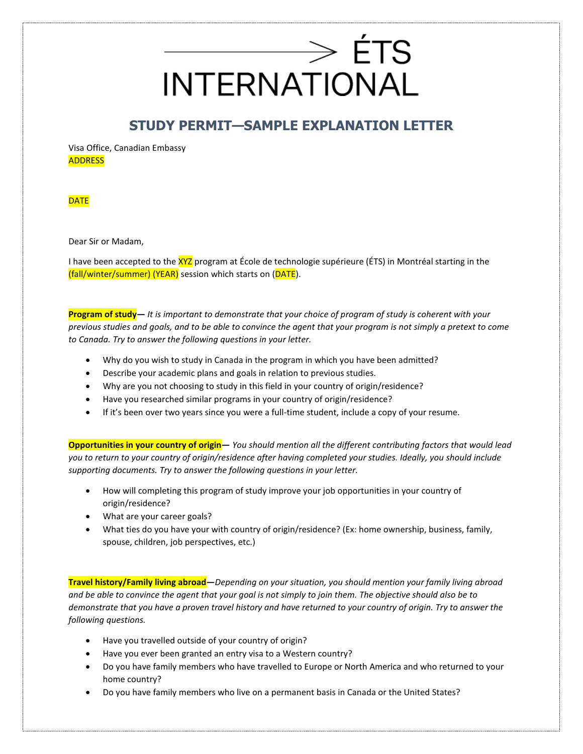# $\Rightarrow$  ÉTS **INTERNATIONAL**

### **STUDY PERMIT—SAMPLE EXPLANATION LETTER**

Visa Office, Canadian Embassy **ADDRESS** 

**DATE** 

Dear Sir or Madam,

I have been accepted to the XYZ program at École de technologie supérieure (ÉTS) in Montréal starting in the (fall/winter/summer) (YEAR) session which starts on (DATE).

**Program of study—** *It is important to demonstrate that your choice of program of study is coherent with your previous studies and goals, and to be able to convince the agent that your program is not simply a pretext to come to Canada. Try to answer the following questions in your letter.*

- Why do you wish to study in Canada in the program in which you have been admitted?
- Describe your academic plans and goals in relation to previous studies.
- Why are you not choosing to study in this field in your country of origin/residence?
- Have you researched similar programs in your country of origin/residence?
- If it's been over two years since you were a full-time student, include a copy of your resume.

**Opportunities in your country of origin—** *You should mention all the different contributing factors that would lead you to return to your country of origin/residence after having completed your studies. Ideally, you should include supporting documents. Try to answer the following questions in your letter.*

- How will completing this program of study improve your job opportunities in your country of origin/residence?
- What are your career goals?
- What ties do you have your with country of origin/residence? (Ex: home ownership, business, family, spouse, children, job perspectives, etc.)

**Travel history/Family living abroad—***Depending on your situation, you should mention your family living abroad and be able to convince the agent that your goal is not simply to join them. The objective should also be to demonstrate that you have a proven travel history and have returned to your country of origin. Try to answer the following questions.* 

- Have you travelled outside of your country of origin?
- Have you ever been granted an entry visa to a Western country?
- Do you have family members who have travelled to Europe or North America and who returned to your home country?
- Do you have family members who live on a permanent basis in Canada or the United States?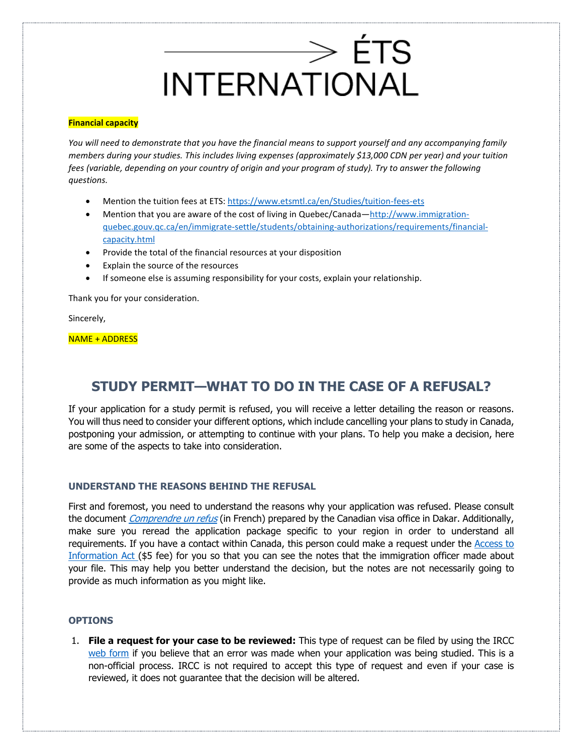# $\longrightarrow$  ÉTS **INTERNATIONAL**

#### **Financial capacity**

*You will need to demonstrate that you have the financial means to support yourself and any accompanying family members during your studies. This includes living expenses (approximately \$13,000 CDN per year) and your tuition fees (variable, depending on your country of origin and your program of study). Try to answer the following questions.*

- Mention the tuition fees at ETS:<https://www.etsmtl.ca/en/Studies/tuition-fees-ets>
- Mention that you are aware of the cost of living in Quebec/Canada[—http://www.immigration](http://www.immigration-quebec.gouv.qc.ca/en/immigrate-settle/students/obtaining-authorizations/requirements/financial-capacity.html)[quebec.gouv.qc.ca/en/immigrate-settle/students/obtaining-authorizations/requirements/financial](http://www.immigration-quebec.gouv.qc.ca/en/immigrate-settle/students/obtaining-authorizations/requirements/financial-capacity.html)[capacity.html](http://www.immigration-quebec.gouv.qc.ca/en/immigrate-settle/students/obtaining-authorizations/requirements/financial-capacity.html)
- Provide the total of the financial resources at your disposition
- Explain the source of the resources
- If someone else is assuming responsibility for your costs, explain your relationship.

Thank you for your consideration.

Sincerely,

NAME + ADDRESS

### **STUDY PERMIT—WHAT TO DO IN THE CASE OF A REFUSAL?**

If your application for a study permit is refused, you will receive a letter detailing the reason or reasons. You will thus need to consider your different options, which include cancelling your plans to study in Canada, postponing your admission, or attempting to continue with your plans. To help you make a decision, here are some of the aspects to take into consideration.

#### **UNDERSTAND THE REASONS BEHIND THE REFUSAL**

First and foremost, you need to understand the reasons why your application was refused. Please consult the document *[Comprendre un refus](https://www.etsmtl.ca/docs/Activites-et-services-aux-etudiants/Soutien-etudiants-internationaux/Documents/comprendre-refus)* (in French) prepared by the Canadian visa office in Dakar. Additionally, make sure you reread the application package specific to your region in order to understand all requirements. If you have a contact within Canada, this person could make a request under the Access to [Information Act \(](https://www.canada.ca/en/immigration-refugees-citizenship/corporate/transparency/access-information-privacy/requests-information-act.html)\$5 fee) for you so that you can see the notes that the immigration officer made about your file. This may help you better understand the decision, but the notes are not necessarily going to provide as much information as you might like.

#### **OPTIONS**

1. **File a request for your case to be reviewed:** This type of request can be filed by using the IRCC [web form](https://secure.cic.gc.ca/enquiries-renseignements/canada-case-cas-eng.aspx?AspxAutoDetectCookieSupport=1) if you believe that an error was made when your application was being studied. This is a non-official process. IRCC is not required to accept this type of request and even if your case is reviewed, it does not guarantee that the decision will be altered.